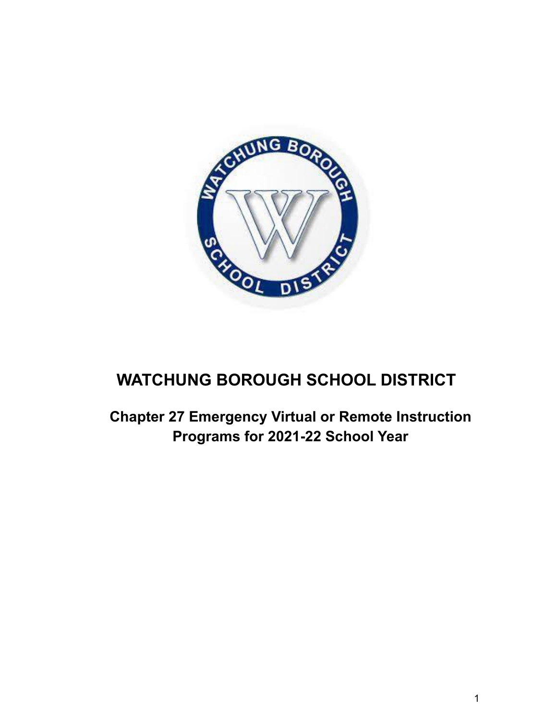

# **WATCHUNG BOROUGH SCHOOL DISTRICT**

**Chapter 27 Emergency Virtual or Remote Instruction Programs for 2021-22 School Year**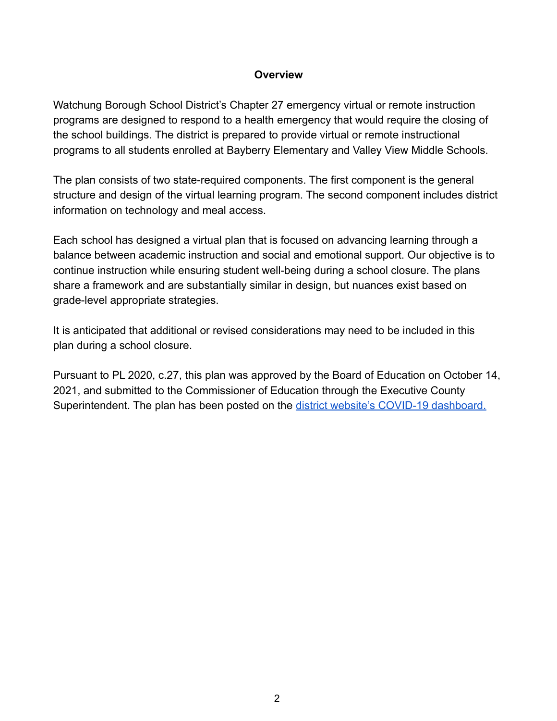#### **Overview**

Watchung Borough School District's Chapter 27 emergency virtual or remote instruction programs are designed to respond to a health emergency that would require the closing of the school buildings. The district is prepared to provide virtual or remote instructional programs to all students enrolled at Bayberry Elementary and Valley View Middle Schools.

The plan consists of two state-required components. The first component is the general structure and design of the virtual learning program. The second component includes district information on technology and meal access.

Each school has designed a virtual plan that is focused on advancing learning through a balance between academic instruction and social and emotional support. Our objective is to continue instruction while ensuring student well-being during a school closure. The plans share a framework and are substantially similar in design, but nuances exist based on grade-level appropriate strategies.

It is anticipated that additional or revised considerations may need to be included in this plan during a school closure.

Pursuant to PL 2020, c.27, this plan was approved by the Board of Education on October 14, 2021, and submitted to the Commissioner of Education through the Executive County Superintendent. The plan has been posted on the district [website's COVID-19 dashboard.](http://www.watchungschools.com/watchung/News%20%26%20Events/COVID-19%20Dashboard/)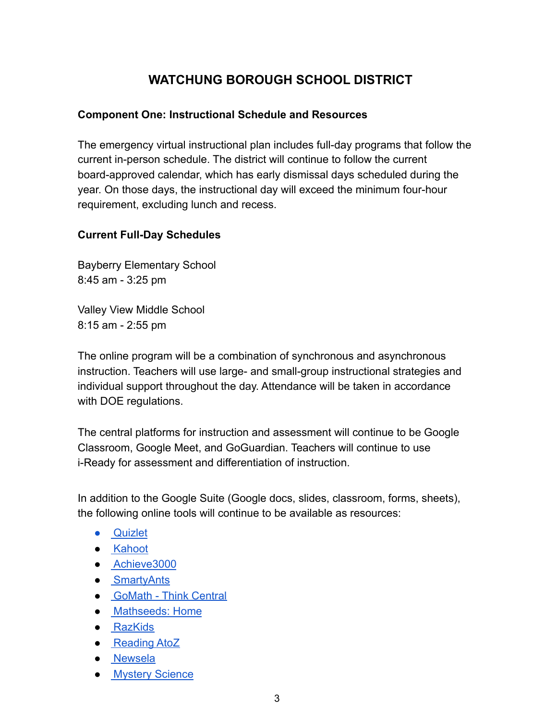# **WATCHUNG BOROUGH SCHOOL DISTRICT**

# **Component One: Instructional Schedule and Resources**

The emergency virtual instructional plan includes full-day programs that follow the current in-person schedule. The district will continue to follow the current board-approved calendar, which has early dismissal days scheduled during the year. On those days, the instructional day will exceed the minimum four-hour requirement, excluding lunch and recess.

# **Current Full-Day Schedules**

Bayberry Elementary School 8:45 am - 3:25 pm

Valley View Middle School 8:15 am - 2:55 pm

The online program will be a combination of synchronous and asynchronous instruction. Teachers will use large- and small-group instructional strategies and individual support throughout the day. Attendance will be taken in accordance with DOE regulations.

The central platforms for instruction and assessment will continue to be Google Classroom, Google Meet, and GoGuardian. Teachers will continue to use i-Ready for assessment and differentiation of instruction.

In addition to the Google Suite (Google docs, slides, classroom, forms, sheets), the following online tools will continue to be available as resources:

- [Quizlet](https://quizlet.com/)
- [Kahoot](https://kahoot.com/)
- [Achieve3000](https://www.achieve3000.com/)
- [SmartyAnts](https://dashboard.smartyants.com/login)
- [GoMath Think Central](https://www-k6.thinkcentral.com/ePC/start.do)
- [Mathseeds: Home](https://mathseeds.com/)
- [RazKids](https://www.raz-kids.com/)
- [Reading AtoZ](https://www.readinga-z.com/?_ga=2.96483613.367008719.1583943079-508885025.1583943079)
- [Newsela](https://newsela.com/signin)
- [Mystery Science](https://mysteryscience.com/log-in)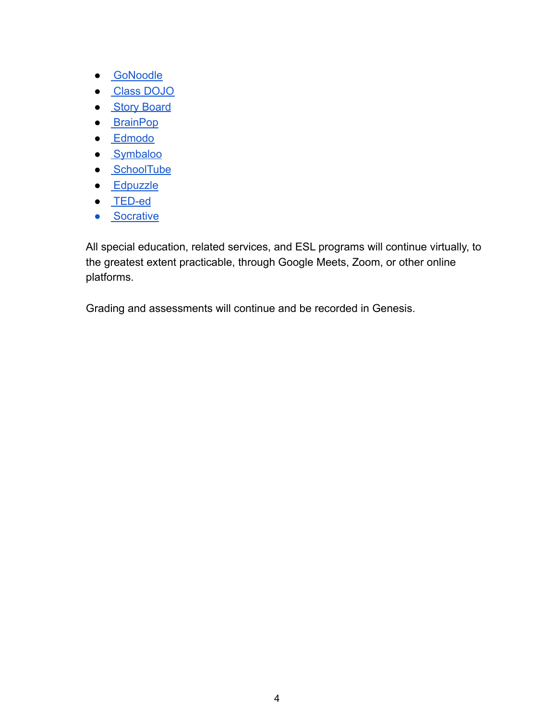- [GoNoodle](https://www.gonoodle.com/)
- [Class DOJO](https://www.classdojo.com/)
- **[Story Board](https://www.storyboardthat.com/)**
- [BrainPop](https://www.brainpop.com/)
- [Edmodo](https://new.edmodo.com/?go2url=%2Fhome)
- [Symbaloo](https://www.symbaloo.com/home/mix/13eOcPegXh)
- [SchoolTube](https://www.schooltube.com/)
- [Edpuzzle](https://edpuzzle.com/)
- [TED-ed](https://ed.ted.com/)
- [Socrative](https://socrative.com/k-12/)

All special education, related services, and ESL programs will continue virtually, to the greatest extent practicable, through Google Meets, Zoom, or other online platforms.

Grading and assessments will continue and be recorded in Genesis.